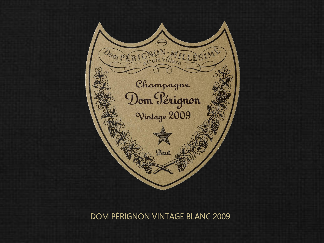

DOM PÉRIGNON VINTAGE BLANC 2009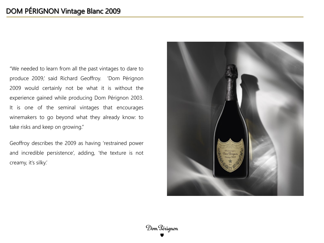"We needed to learn from all the past vintages to dare to produce 2009,' said Richard Geoffroy. 'Dom Pérignon 2009 would certainly not be what it is without the experience gained while producing Dom Pérignon 2003. It is one of the seminal vintages that encourages winemakers to go beyond what they already know: to take risks and keep on growing."

Geoffroy describes the 2009 as having 'restrained power and incredible persistence', adding, 'the texture is not creamy, it's silky.'

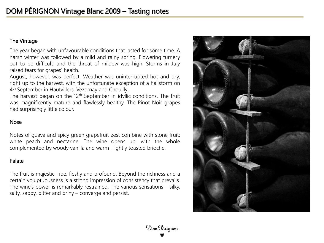## The Vintage

The year began with unfavourable conditions that lasted for some time. A harsh winter was followed by a mild and rainy spring. Flowering turnery out to be difficult, and the threat of mildew was high. Storms in July raised fears for grapes' health.

August, however, was perfect. Weather was uninterrupted hot and dry, right up to the harvest, with the unfortunate exception of a hailstorm on 4 th September in Hautvillers, Vezernay and Chouilly.

The harvest began on the 12<sup>th</sup> September in idyllic conditions. The fruit was magnificently mature and flawlessly healthy. The Pinot Noir grapes had surprisingly little colour.

### Nose

Notes of guava and spicy green grapefruit zest combine with stone fruit: white peach and nectarine. The wine opens up, with the whole complemented by woody vanilla and warm , lightly toasted brioche.

### Palate

The fruit is majestic: ripe, fleshy and profound. Beyond the richness and a certain voluptuousness is a strong impression of consistency that prevails. The wine's power is remarkably restrained. The various sensations – silky, salty, sappy, bitter and briny – converge and persist.

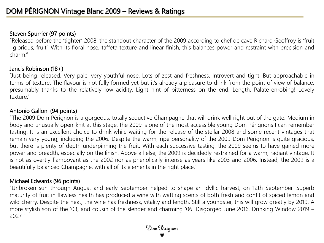# Steven Spurrier (97 points)

"Released before the 'tighter' 2008, the standout character of the 2009 according to chef de cave Richard Geoffroy is 'fruit , glorious, fruit'. With its floral nose, taffeta texture and linear finish, this balances power and restraint with precision and charm."

## Jancis Robinson (18+)

"Just being released. Very pale, very youthful nose. Lots of zest and freshness. Introvert and tight. But approachable in terms of texture. The flavour is not fully formed yet but it's already a pleasure to drink from the point of view of balance, presumably thanks to the relatively low acidity. Light hint of bitterness on the end. Length. Palate-enrobing! Lovely texture."

# Antonio Galloni (94 points)

"The 2009 Dom Pérignon is a gorgeous, totally seductive Champagne that will drink well right out of the gate. Medium in body and unusually open-knit at this stage, the 2009 is one of the most accessible young Dom Pérignons I can remember tasting. It is an excellent choice to drink while waiting for the release of the stellar 2008 and some recent vintages that remain very young, including the 2006. Despite the warm, ripe personality of the 2009 Dom Pérignon is quite gracious, but there is plenty of depth underpinning the fruit. With each successive tasting, the 2009 seems to have gained more power and breadth, especially on the finish. Above all else, the 2009 is decidedly restrained for a warm, radiant vintage. It is not as overtly flamboyant as the 2002 nor as phenolically intense as years like 2003 and 2006. Instead, the 2009 is a beautifully balanced Champagne, with all of its elements in the right place."

# Michael Edwards (96 points)

"Unbroken sun through August and early September helped to shape an idyllic harvest, on 12th September. Superb maturity of fruit in flawless health has produced a wine with wafting scents of both fresh and confit of spiced lemon and wild cherry. Despite the heat, the wine has freshness, vitality and length. Still a youngster, this will grow greatly by 2019. A more stylish son of the '03, and cousin of the slender and charming '06. Disgorged June 2016. Drinking Window 2019 – 2027 "